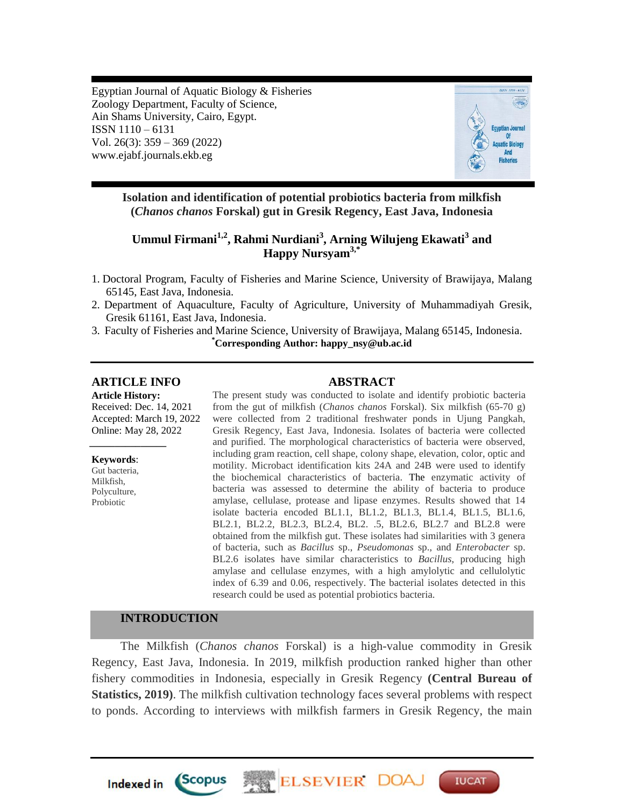Egyptian Journal of Aquatic Biology & Fisheries Zoology Department, Faculty of Science, Ain Shams University, Cairo, Egypt. ISSN 1110 – 6131 Vol. 26(3): 359 – 369 (2022) www.ejabf.journals.ekb.eg



**Isolation and identification of potential probiotics bacteria from milkfish (***Chanos chanos* **Forskal) gut in Gresik Regency, East Java, Indonesia**

# **Ummul Firmani1,2, Rahmi Nurdiani<sup>3</sup> , Arning Wilujeng Ekawati<sup>3</sup> and Happy Nursyam3,\***

- 1. Doctoral Program, Faculty of Fisheries and Marine Science, University of Brawijaya, Malang 65145, East Java, Indonesia.
- 2. Department of Aquaculture, Faculty of Agriculture, University of Muhammadiyah Gresik, Gresik 61161, East Java, Indonesia.
- 3. Faculty of Fisheries and Marine Science, University of Brawijaya, Malang 65145, Indonesia. **\*Corresponding Author: happy\_nsy@ub.ac.id**

# **ARTICLE INFO ABSTRACT**

*\_\_\_\_\_\_\_\_\_\_\_\_\_\_\_*

**Article History:** Received: Dec. 14, 2021 Accepted: March 19, 2022 Online: May 28, 2022

**Keywords**: Gut bacteria, Milkfish, Polyculture, Probiotic

The present study was conducted to isolate and identify probiotic bacteria from the gut of milkfish (*Chanos chanos* Forskal). Six milkfish (65-70 g) were collected from 2 traditional freshwater ponds in Ujung Pangkah, Gresik Regency, East Java, Indonesia. Isolates of bacteria were collected and purified. The morphological characteristics of bacteria were observed, including gram reaction, cell shape, colony shape, elevation, color, optic and motility. Microbact identification kits 24A and 24B were used to identify the biochemical characteristics of bacteria. The enzymatic activity of bacteria was assessed to determine the ability of bacteria to produce amylase, cellulase, protease and lipase enzymes. Results showed that 14 isolate bacteria encoded BL1.1, BL1.2, BL1.3, BL1.4, BL1.5, BL1.6, BL2.1, BL2.2, BL2.3, BL2.4, BL2. .5, BL2.6, BL2.7 and BL2.8 were obtained from the milkfish gut. These isolates had similarities with 3 genera of bacteria, such as *Bacillus* sp., *Pseudomonas* sp., and *Enterobacter* sp. BL2.6 isolates have similar characteristics to *Bacillus*, producing high amylase and cellulase enzymes, with a high amylolytic and cellulolytic index of 6.39 and 0.06, respectively. The bacterial isolates detected in this research could be used as potential probiotics bacteria.

# **INTRODUCTION**

*Scopus* 

**Indexed** in

The Milkfish (*Chanos chanos* Forskal) is a high-value commodity in Gresik Regency, East Java, Indonesia. In 2019, milkfish production ranked higher than other fishery commodities in Indonesia, especially in Gresik Regency **(Central Bureau of Statistics, 2019)**. The milkfish cultivation technology faces several problems with respect to ponds. According to interviews with milkfish farmers in Gresik Regency, the main

ELSEVIER DO

**IUCAT**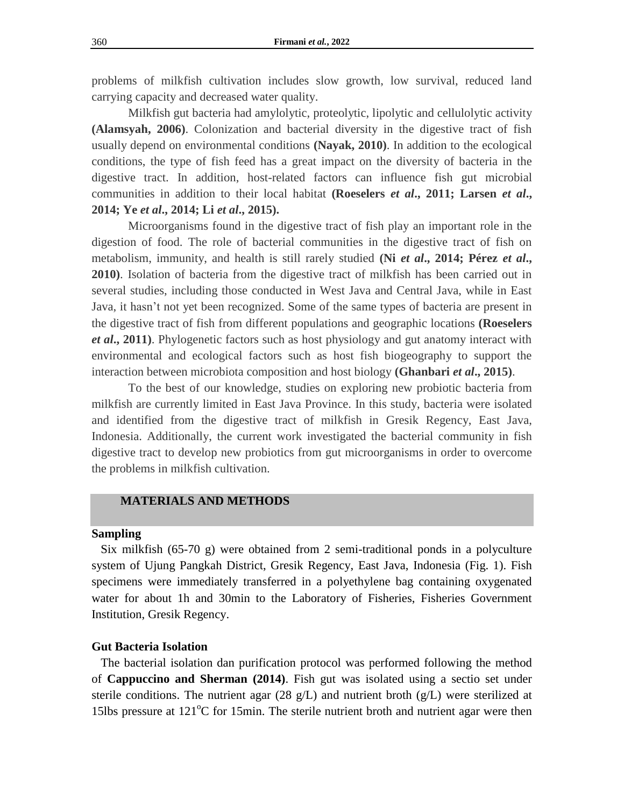problems of milkfish cultivation includes slow growth, low survival, reduced land carrying capacity and decreased water quality.

Milkfish gut bacteria had amylolytic, proteolytic, lipolytic and cellulolytic activity **(Alamsyah, 2006)**. Colonization and bacterial diversity in the digestive tract of fish usually depend on environmental conditions **(Nayak, 2010)**. In addition to the ecological conditions, the type of fish feed has a great impact on the diversity of bacteria in the digestive tract. In addition, host-related factors can influence fish gut microbial communities in addition to their local habitat **(Roeselers** *et al***., 2011; Larsen** *et al***., 2014; Ye** *et al***., 2014; Li** *et al***., 2015).**

Microorganisms found in the digestive tract of fish play an important role in the digestion of food. The role of bacterial communities in the digestive tract of fish on metabolism, immunity, and health is still rarely studied **(Ni** *et al***., 2014; Pérez** *et al***., 2010)**. Isolation of bacteria from the digestive tract of milkfish has been carried out in several studies, including those conducted in West Java and Central Java, while in East Java, it hasn't not yet been recognized. Some of the same types of bacteria are present in the digestive tract of fish from different populations and geographic locations **(Roeselers**  *et al***., 2011)**. Phylogenetic factors such as host physiology and gut anatomy interact with environmental and ecological factors such as host fish biogeography to support the interaction between microbiota composition and host biology **(Ghanbari** *et al***., 2015)**.

To the best of our knowledge, studies on exploring new probiotic bacteria from milkfish are currently limited in East Java Province. In this study, bacteria were isolated and identified from the digestive tract of milkfish in Gresik Regency, East Java, Indonesia. Additionally, the current work investigated the bacterial community in fish digestive tract to develop new probiotics from gut microorganisms in order to overcome the problems in milkfish cultivation.

# **MATERIALS AND METHODS**

#### **Sampling**

 Six milkfish (65-70 g) were obtained from 2 semi-traditional ponds in a polyculture system of Ujung Pangkah District, Gresik Regency, East Java, Indonesia (Fig. 1). Fish specimens were immediately transferred in a polyethylene bag containing oxygenated water for about 1h and 30min to the Laboratory of Fisheries, Fisheries Government Institution, Gresik Regency.

### **Gut Bacteria Isolation**

 The bacterial isolation dan purification protocol was performed following the method of **Cappuccino and Sherman (2014)**. Fish gut was isolated using a sectio set under sterile conditions. The nutrient agar (28 g/L) and nutrient broth (g/L) were sterilized at 15lbs pressure at  $121^{\circ}$ C for 15min. The sterile nutrient broth and nutrient agar were then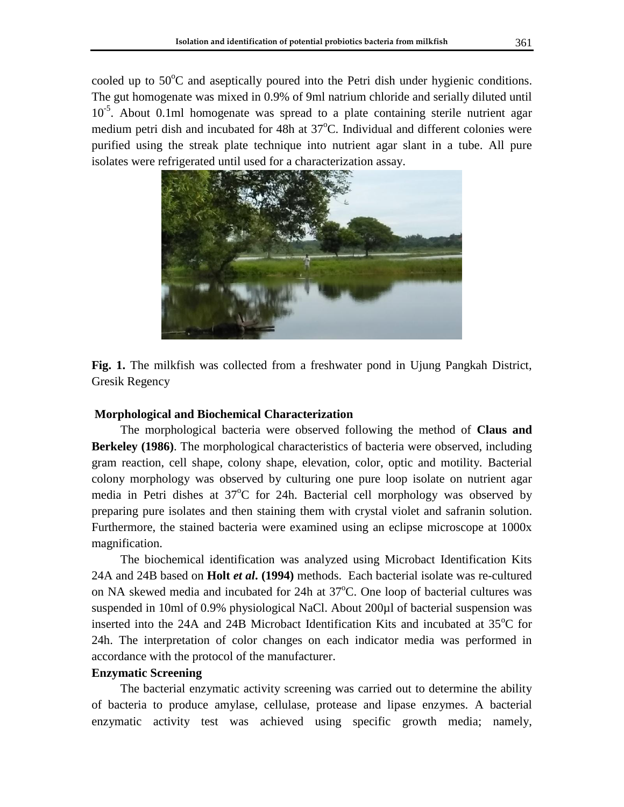cooled up to  $50^{\circ}$ C and aseptically poured into the Petri dish under hygienic conditions. The gut homogenate was mixed in 0.9% of 9ml natrium chloride and serially diluted until 10<sup>-5</sup>. About 0.1ml homogenate was spread to a plate containing sterile nutrient agar medium petri dish and incubated for 48h at  $37^{\circ}$ C. Individual and different colonies were purified using the streak plate technique into nutrient agar slant in a tube. All pure isolates were refrigerated until used for a characterization assay.



**Fig. 1.** The milkfish was collected from a freshwater pond in Ujung Pangkah District, Gresik Regency

# **Morphological and Biochemical Characterization**

The morphological bacteria were observed following the method of **Claus and Berkeley (1986)**. The morphological characteristics of bacteria were observed, including gram reaction, cell shape, colony shape, elevation, color, optic and motility. Bacterial colony morphology was observed by culturing one pure loop isolate on nutrient agar media in Petri dishes at  $37^{\circ}$ C for 24h. Bacterial cell morphology was observed by preparing pure isolates and then staining them with crystal violet and safranin solution. Furthermore, the stained bacteria were examined using an eclipse microscope at 1000x magnification.

The biochemical identification was analyzed using Microbact Identification Kits 24A and 24B based on **Holt** *et al***. (1994)** methods. Each bacterial isolate was re-cultured on NA skewed media and incubated for 24h at  $37^{\circ}$ C. One loop of bacterial cultures was suspended in 10ml of 0.9% physiological NaCl. About 200µl of bacterial suspension was inserted into the 24A and 24B Microbact Identification Kits and incubated at  $35^{\circ}$ C for 24h. The interpretation of color changes on each indicator media was performed in accordance with the protocol of the manufacturer.

# **Enzymatic Screening**

The bacterial enzymatic activity screening was carried out to determine the ability of bacteria to produce amylase, cellulase, protease and lipase enzymes. A bacterial enzymatic activity test was achieved using specific growth media; namely,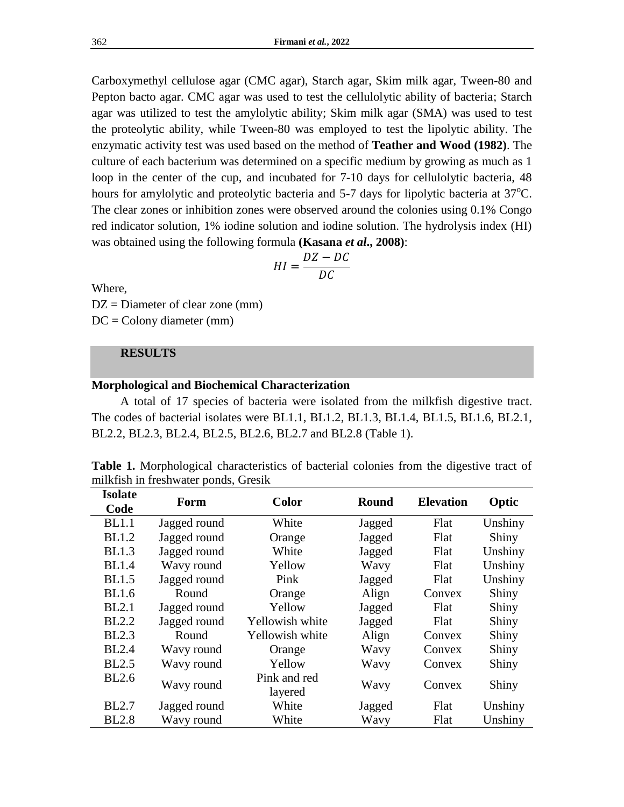Carboxymethyl cellulose agar (CMC agar), Starch agar, Skim milk agar, Tween-80 and Pepton bacto agar. CMC agar was used to test the cellulolytic ability of bacteria; Starch agar was utilized to test the amylolytic ability; Skim milk agar (SMA) was used to test the proteolytic ability, while Tween-80 was employed to test the lipolytic ability. The enzymatic activity test was used based on the method of **Teather and Wood (1982)**. The culture of each bacterium was determined on a specific medium by growing as much as 1 loop in the center of the cup, and incubated for 7-10 days for cellulolytic bacteria, 48 hours for amylolytic and proteolytic bacteria and  $5-7$  days for lipolytic bacteria at  $37^{\circ}\text{C}$ . The clear zones or inhibition zones were observed around the colonies using 0.1% Congo red indicator solution, 1% iodine solution and iodine solution. The hydrolysis index (HI) was obtained using the following formula **(Kasana** *et al***., 2008)**:

$$
HI = \frac{DZ - DC}{DC}
$$

Where,

 $DZ =$  Diameter of clear zone (mm)

 $DC = Colony$  diameter (mm)

# **RESULTS**

# **Morphological and Biochemical Characterization**

A total of 17 species of bacteria were isolated from the milkfish digestive tract. The codes of bacterial isolates were BL1.1, BL1.2, BL1.3, BL1.4, BL1.5, BL1.6, BL2.1, BL2.2, BL2.3, BL2.4, BL2.5, BL2.6, BL2.7 and BL2.8 (Table 1).

| <b>Table 1.</b> Morphological characteristics of bacterial colonies from the digestive tract of |  |  |  |
|-------------------------------------------------------------------------------------------------|--|--|--|
| milkfish in freshwater ponds, Gresik                                                            |  |  |  |

| <b>Isolate</b><br>Code | Form         | <b>Color</b>            | Round  | <b>Elevation</b> | Optic   |
|------------------------|--------------|-------------------------|--------|------------------|---------|
| <b>BL1.1</b>           | Jagged round | White                   | Jagged | Flat             | Unshiny |
| <b>BL1.2</b>           | Jagged round | Orange                  | Jagged | Flat             | Shiny   |
| <b>BL1.3</b>           | Jagged round | White                   | Jagged | Flat             | Unshiny |
| <b>BL1.4</b>           | Wavy round   | Yellow                  | Wavy   | Flat             | Unshiny |
| <b>BL1.5</b>           | Jagged round | Pink                    | Jagged | Flat             | Unshiny |
| <b>BL1.6</b>           | Round        | Orange                  | Align  | Convex           | Shiny   |
| BL2.1                  | Jagged round | Yellow                  | Jagged | Flat             | Shiny   |
| <b>BL2.2</b>           | Jagged round | Yellowish white         | Jagged | Flat             | Shiny   |
| <b>BL2.3</b>           | Round        | Yellowish white         | Align  | Convex           | Shiny   |
| <b>BL2.4</b>           | Wavy round   | Orange                  | Wavy   | Convex           | Shiny   |
| <b>BL2.5</b>           | Wavy round   | Yellow                  | Wavy   | Convex           | Shiny   |
| <b>BL2.6</b>           | Wavy round   | Pink and red<br>layered | Wavy   | Convex           | Shiny   |
| <b>BL2.7</b>           | Jagged round | White                   | Jagged | Flat             | Unshiny |
| <b>BL2.8</b>           | Wavy round   | White                   | Wavy   | Flat             | Unshiny |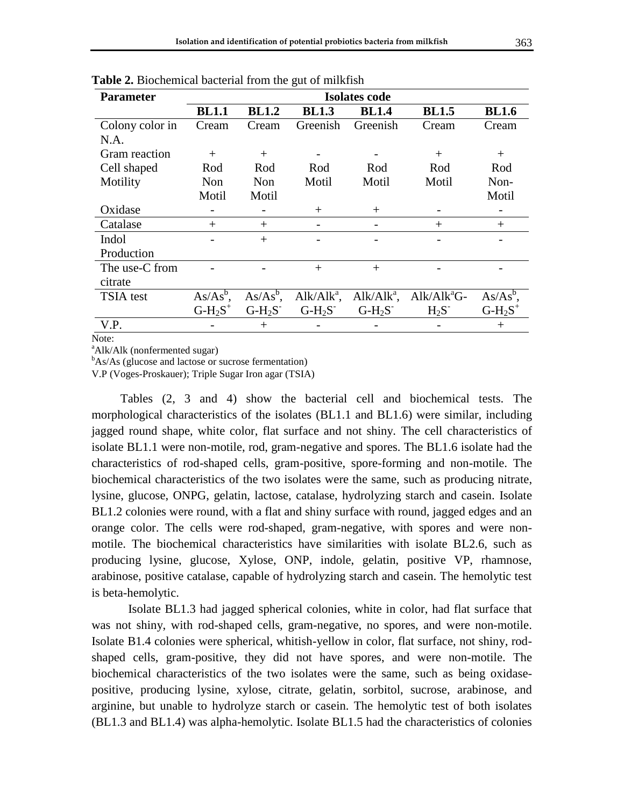| <b>Parameter</b> | <b>Isolates code</b> |              |               |               |                |              |  |
|------------------|----------------------|--------------|---------------|---------------|----------------|--------------|--|
|                  | <b>BL1.1</b>         | <b>BL1.2</b> | <b>BL1.3</b>  | <b>BL1.4</b>  | <b>BL1.5</b>   | <b>BL1.6</b> |  |
| Colony color in  | Cream                | Cream        | Greenish      | Greenish      | Cream          | Cream        |  |
| N.A.             |                      |              |               |               |                |              |  |
| Gram reaction    | $^{+}$               | $+$          |               |               | $^{+}$         | $^{+}$       |  |
| Cell shaped      | Rod                  | Rod          | Rod           | Rod           | Rod            | Rod          |  |
| Motility         | Non                  | Non          | Motil         | Motil         | Motil          | Non-         |  |
|                  | Motil                | Motil        |               |               |                | Motil        |  |
| Oxidase          |                      |              | $^{+}$        | $^{+}$        |                |              |  |
| Catalase         | $^{+}$               | $^{+}$       |               |               | $^{+}$         | $^{+}$       |  |
| Indol            |                      | $^{+}$       |               |               |                |              |  |
| Production       |                      |              |               |               |                |              |  |
| The use-C from   |                      |              | $+$           | $+$           |                |              |  |
| citrate          |                      |              |               |               |                |              |  |
| TSIA test        | $As/As^b$ .          | $As/As^b$ ,  | $Alk/Alk^a$ , | $Alk/Alk^a$ , | $Alk/Alk^aG$ - | $As/As^b$ ,  |  |
|                  | $G-H_2S^+$           | $G-H2S$      | $G-H2S$       | $G-H_2S^-$    | $H_2S^-$       | $G-H_2S^+$   |  |
| V.P.             |                      | $^+$         |               |               |                | $^{+}$       |  |
| <b>AT</b>        |                      |              |               |               |                |              |  |

**Table 2.** Biochemical bacterial from the gut of milkfish

Note:

<sup>a</sup>Alk/Alk (nonfermented sugar)

 $<sup>b</sup> As/As$  (glucose and lactose or sucrose fermentation)</sup>

V.P (Voges-Proskauer); Triple Sugar Iron agar (TSIA)

Tables (2, 3 and 4) show the bacterial cell and biochemical tests. The morphological characteristics of the isolates (BL1.1 and BL1.6) were similar, including jagged round shape, white color, flat surface and not shiny. The cell characteristics of isolate BL1.1 were non-motile, rod, gram-negative and spores. The BL1.6 isolate had the characteristics of rod-shaped cells, gram-positive, spore-forming and non-motile. The biochemical characteristics of the two isolates were the same, such as producing nitrate, lysine, glucose, ONPG, gelatin, lactose, catalase, hydrolyzing starch and casein. Isolate BL1.2 colonies were round, with a flat and shiny surface with round, jagged edges and an orange color. The cells were rod-shaped, gram-negative, with spores and were nonmotile. The biochemical characteristics have similarities with isolate BL2.6, such as producing lysine, glucose, Xylose, ONP, indole, gelatin, positive VP, rhamnose, arabinose, positive catalase, capable of hydrolyzing starch and casein. The hemolytic test is beta-hemolytic.

Isolate BL1.3 had jagged spherical colonies, white in color, had flat surface that was not shiny, with rod-shaped cells, gram-negative, no spores, and were non-motile. Isolate B1.4 colonies were spherical, whitish-yellow in color, flat surface, not shiny, rodshaped cells, gram-positive, they did not have spores, and were non-motile. The biochemical characteristics of the two isolates were the same, such as being oxidasepositive, producing lysine, xylose, citrate, gelatin, sorbitol, sucrose, arabinose, and arginine, but unable to hydrolyze starch or casein. The hemolytic test of both isolates (BL1.3 and BL1.4) was alpha-hemolytic. Isolate BL1.5 had the characteristics of colonies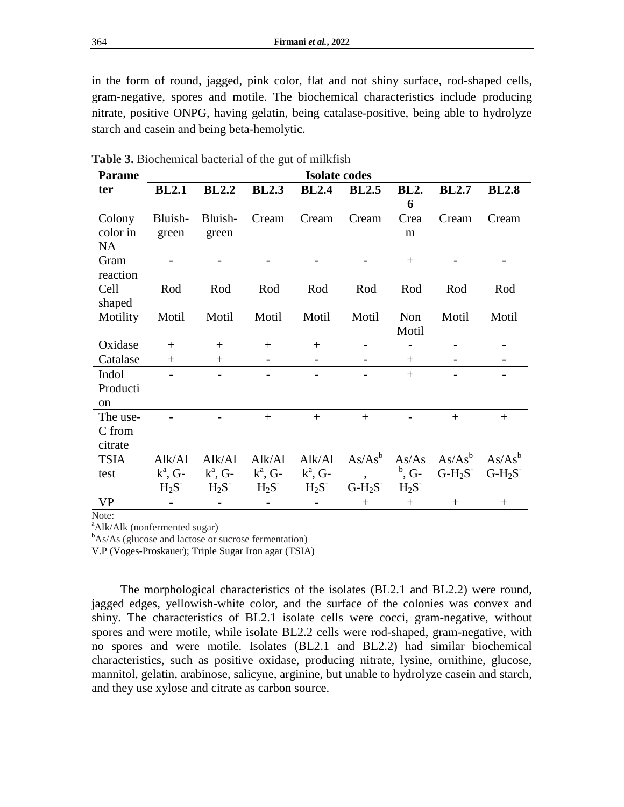in the form of round, jagged, pink color, flat and not shiny surface, rod-shaped cells, gram-negative, spores and motile. The biochemical characteristics include producing nitrate, positive ONPG, having gelatin, being catalase-positive, being able to hydrolyze starch and casein and being beta-hemolytic.

| <b>Parame</b> | <b>Isolate codes</b> |              |                   |                          |                   |                          |              |              |
|---------------|----------------------|--------------|-------------------|--------------------------|-------------------|--------------------------|--------------|--------------|
| ter           | <b>BL2.1</b>         | <b>BL2.2</b> | <b>BL2.3</b>      | <b>BL2.4</b>             | <b>BL2.5</b>      | <b>BL2.</b>              | <b>BL2.7</b> | <b>BL2.8</b> |
|               |                      |              |                   |                          |                   | 6                        |              |              |
| Colony        | Bluish-              | Bluish-      | Cream             | Cream                    | Cream             | Crea                     | Cream        | Cream        |
| color in      | green                | green        |                   |                          |                   | m                        |              |              |
| <b>NA</b>     |                      |              |                   |                          |                   |                          |              |              |
| Gram          |                      |              |                   |                          |                   | $+$                      |              |              |
| reaction      |                      |              |                   |                          |                   |                          |              |              |
| Cell          | Rod                  | Rod          | Rod               | Rod                      | Rod               | Rod                      | Rod          | Rod          |
| shaped        |                      |              |                   |                          |                   |                          |              |              |
| Motility      | Motil                | Motil        | Motil             | Motil                    | Motil             | Non                      | Motil        | Motil        |
|               |                      |              |                   |                          |                   | Motil                    |              |              |
| Oxidase       | $+$                  | $^{+}$       | $^{+}$            | $^{+}$                   |                   | $\overline{\phantom{a}}$ |              |              |
| Catalase      | $+$                  | $^{+}$       | $\qquad \qquad -$ | $\overline{\phantom{a}}$ | $\qquad \qquad -$ | $^{+}$                   |              |              |
| Indol         |                      |              |                   |                          |                   | $+$                      |              |              |
| Producti      |                      |              |                   |                          |                   |                          |              |              |
| <sub>on</sub> |                      |              |                   |                          |                   |                          |              |              |
| The use-      |                      |              | $+$               | $+$                      | $+$               |                          | $+$          | $^{+}$       |
| C from        |                      |              |                   |                          |                   |                          |              |              |
| citrate       |                      |              |                   |                          |                   |                          |              |              |
| <b>TSIA</b>   | Alk/Al               | Alk/Al       | Alk/Al            | Alk/Al                   | $As/As^b$         | As/As                    | $As/As^b$    | $As/As^b$    |
| test          | $k^a$ , G-           | $k^a$ , G-   | $k^a$ , G-        | $k^a$ , G-               |                   | $^{\rm b}$ , G-          | $G-H_2S^-$   | $G-H_2S^-$   |
|               | $H_2S^-$             | $H_2S^-$     | $H_2S^-$          | $H_2S^-$                 | $G-H_2S^-$        | $H_2S^-$                 |              |              |
| <b>VP</b>     |                      |              |                   |                          | $^{+}$            | $^{+}$                   | $+$          | $^{+}$       |

**Table 3.** Biochemical bacterial of the gut of milkfish

Note:

<sup>a</sup>Alk/Alk (nonfermented sugar)

 $<sup>b</sup> As/As$  (glucose and lactose or sucrose fermentation)</sup>

V.P (Voges-Proskauer); Triple Sugar Iron agar (TSIA)

The morphological characteristics of the isolates (BL2.1 and BL2.2) were round, jagged edges, yellowish-white color, and the surface of the colonies was convex and shiny. The characteristics of BL2.1 isolate cells were cocci, gram-negative, without spores and were motile, while isolate BL2.2 cells were rod-shaped, gram-negative, with no spores and were motile. Isolates (BL2.1 and BL2.2) had similar biochemical characteristics, such as positive oxidase, producing nitrate, lysine, ornithine, glucose, mannitol, gelatin, arabinose, salicyne, arginine, but unable to hydrolyze casein and starch, and they use xylose and citrate as carbon source.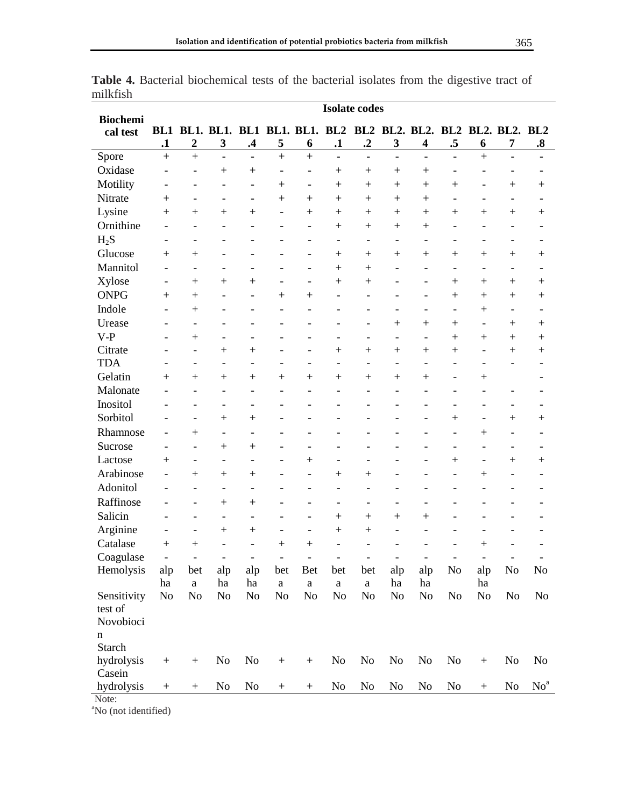| <b>Biochemi</b> | <b>Isolate codes</b>     |                                                                 |                          |                          |                          |                          |                          |                          |                          |                          |                          |                          |                          |                            |
|-----------------|--------------------------|-----------------------------------------------------------------|--------------------------|--------------------------|--------------------------|--------------------------|--------------------------|--------------------------|--------------------------|--------------------------|--------------------------|--------------------------|--------------------------|----------------------------|
| cal test        |                          | BL1 BL1. BL1. BL1 BL1. BL1. BL2 BL2 BL2. BL2. BL2 BL2. BL2. BL2 |                          |                          |                          |                          |                          |                          |                          |                          |                          |                          |                          |                            |
|                 | $\mathbf{.1}$            | $\boldsymbol{2}$                                                | $\mathbf{3}$             | $\mathbf{.4}$            | 5                        | 6                        | $\cdot$                  | $\cdot$ <sup>2</sup>     | $\mathbf{3}$             | 4                        | .5                       | 6                        | 7                        | $\boldsymbol{.8}$          |
| Spore           | $\ddot{}$                | $\ddot{}$                                                       | $\overline{a}$           | $\frac{1}{2}$            | $\ddot{}$                | $\ddot{}$                | $\overline{a}$           | $\blacksquare$           | $\overline{a}$           | $\blacksquare$           | $\overline{a}$           | $\ddot{}$                | $\overline{\phantom{a}}$ | $\overline{a}$             |
| Oxidase         |                          | $\overline{\phantom{0}}$                                        | $^{+}$                   | $^{+}$                   | -                        | $\overline{a}$           |                          | $\hspace{0.1mm} +$       | $+$                      | $\hspace{0.1mm} +$       |                          |                          |                          |                            |
| Motility        | ٠                        | $\overline{\phantom{a}}$                                        | $\overline{a}$           | $\overline{a}$           | $+$                      | $\overline{\phantom{0}}$ | $+$                      | $^{+}$                   | $+$                      | $\hspace{0.1mm} +$       | $^{+}$                   | $\overline{\phantom{0}}$ |                          | $^{+}$                     |
| Nitrate         | $\hspace{0.1mm} +$       | $\overline{\phantom{a}}$                                        | $\overline{\phantom{0}}$ | $\overline{\phantom{a}}$ | $+$                      | $^{+}$                   | $+$                      | $^{+}$                   | $+$                      | $\hspace{0.1mm} +$       | $\overline{\phantom{a}}$ | $\overline{\phantom{0}}$ | $\overline{\phantom{a}}$ |                            |
| Lysine          | $^{+}$                   | $+$                                                             | $^{+}$                   | $+$                      | $\overline{\phantom{a}}$ | $^{+}$                   | $+$                      | $\hspace{0.1mm} +$       | $+$                      | $\hspace{0.1mm} +$       | $\hspace{0.1mm} +$       | $^{+}$                   |                          | $^{+}$                     |
| Ornithine       |                          | $\overline{\phantom{a}}$                                        | L,                       |                          |                          | $\overline{a}$           | $+$                      | $+$                      |                          | $+$                      | $\overline{a}$           | $\overline{\phantom{0}}$ |                          | -                          |
| $H_2S$          | $\qquad \qquad -$        | $\qquad \qquad -$                                               | $\overline{a}$           | -                        |                          | -                        | $\qquad \qquad -$        | $\qquad \qquad -$        | $\qquad \qquad -$        | $\overline{\phantom{0}}$ | $\overline{\phantom{a}}$ | $\overline{\phantom{0}}$ | $\overline{\phantom{a}}$ | -                          |
| Glucose         | $^{+}$                   | $+$                                                             | $\overline{\phantom{0}}$ | ۰                        |                          | $\overline{\phantom{0}}$ | $+$                      | $\hspace{0.1mm} +$       | $+$                      | $+$                      | $\hspace{0.1mm} +$       | $+$                      | $+$                      | $^{+}$                     |
| Mannitol        | $\overline{a}$           | $\overline{\phantom{a}}$                                        | $\overline{a}$           | $\overline{a}$           |                          | $\overline{a}$           | $+$                      | $^{+}$                   | $\overline{\phantom{0}}$ | $\overline{a}$           | $\overline{a}$           | $\overline{\phantom{m}}$ | $\overline{\phantom{a}}$ |                            |
| Xylose          | $\overline{\phantom{0}}$ | $+$                                                             | $\ddot{}$                | $^{+}$                   |                          | $\overline{\phantom{0}}$ | $^{+}$                   | $^{+}$                   |                          | $\overline{\phantom{0}}$ | $^{+}$                   | $^{+}$                   | $+$                      | $^{+}$                     |
| <b>ONPG</b>     | $^{+}$                   | $+$                                                             | L,                       | $\qquad \qquad -$        | $^{+}$                   | $^{+}$                   | $\overline{\phantom{a}}$ | $\blacksquare$           | $\overline{\phantom{a}}$ | $\overline{a}$           | $^{+}$                   | $^{+}$                   | $^{+}$                   | $^{+}$                     |
| Indole          | $\overline{a}$           | $+$                                                             | L,                       | $\overline{a}$           | $\overline{a}$           | $\overline{a}$           | $\overline{a}$           | $\overline{a}$           | $\overline{\phantom{a}}$ | $\overline{a}$           | $\overline{\phantom{m}}$ | $^{+}$                   | $\overline{\phantom{a}}$ |                            |
| Urease          | ۳                        | $\overline{\phantom{a}}$                                        | $\overline{a}$           | $\overline{\phantom{a}}$ |                          | $\overline{a}$           | $\overline{\phantom{a}}$ | $\overline{\phantom{a}}$ | $+$                      | $+$                      | $^{+}$                   | $\overline{\phantom{m}}$ | $^{+}$                   | $\hspace{0.1mm} +$         |
| $V-P$           |                          | $+$                                                             | $\overline{\phantom{0}}$ | $\qquad \qquad -$        | -                        | ÷,                       | $\qquad \qquad -$        | $\overline{\phantom{a}}$ | $\overline{\phantom{a}}$ | $\overline{\phantom{a}}$ | $+$                      | $+$                      | $\boldsymbol{+}$         | $^{+}$                     |
| Citrate         |                          | $\overline{\phantom{a}}$                                        | $^{+}$                   | $+$                      |                          | $\overline{\phantom{0}}$ | $+$                      | $+$                      | $+$                      | $\hspace{0.1mm} +$       | $^{+}$                   | $\overline{\phantom{0}}$ | $+$                      | $^{+}$                     |
| <b>TDA</b>      | ۰                        | $\overline{\phantom{a}}$                                        | $\overline{a}$           | $\overline{\phantom{a}}$ | -                        | $\overline{\phantom{0}}$ | $\overline{\phantom{a}}$ | $\overline{a}$           | $\overline{\phantom{a}}$ | $\overline{\phantom{a}}$ | $\overline{\phantom{0}}$ | $\overline{\phantom{a}}$ | $\blacksquare$           | $\overline{\phantom{0}}$   |
| Gelatin         | $^{+}$                   | $+$                                                             | $^{+}$                   | $^{+}$                   | $+$                      | $^{+}$                   | $+$                      | $^{+}$                   | $^{+}$                   | $^{+}$                   |                          | $^{+}$                   |                          |                            |
| Malonate        |                          | $\overline{\phantom{a}}$                                        | $\overline{a}$           | $\overline{a}$           | $\overline{a}$           | $\overline{a}$           | $\overline{\phantom{a}}$ | $\overline{a}$           | $\overline{a}$           | $\overline{a}$           | $\blacksquare$           | $\overline{a}$           | $\blacksquare$           |                            |
| Inositol        |                          | $\overline{\phantom{m}}$                                        | $\overline{a}$           | $\qquad \qquad -$        | -                        | $\overline{a}$           |                          | $\overline{a}$           | $\overline{a}$           |                          | $\overline{\phantom{a}}$ | $\overline{a}$           | $\overline{\phantom{a}}$ |                            |
| Sorbitol        | ٠                        | $\overline{\phantom{a}}$                                        | $^{+}$                   | $^{+}$                   | $\overline{a}$           | $\overline{a}$           | ۳                        | $\overline{\phantom{a}}$ | $\overline{a}$           | $\overline{\phantom{0}}$ | $^{+}$                   | $\overline{\phantom{0}}$ |                          | $^{+}$                     |
| Rhamnose        | $\overline{\phantom{0}}$ | $+$                                                             | L,                       |                          |                          | $\overline{a}$           | L,                       |                          | $\overline{a}$           | L,                       | $\overline{\phantom{m}}$ | $^{+}$                   | $\overline{\phantom{a}}$ | $\overline{\phantom{0}}$   |
| Sucrose         | $\overline{\phantom{0}}$ | $\overline{\phantom{a}}$                                        | $+$                      | $^{+}$                   |                          | $\overline{a}$           | $\overline{a}$           | $\overline{\phantom{a}}$ | $\overline{a}$           |                          | $\qquad \qquad -$        | L,                       | $\overline{\phantom{a}}$ | $\overline{a}$             |
| Lactose         | $^{+}$                   | $\overline{\phantom{a}}$                                        | $\overline{\phantom{0}}$ | $\qquad \qquad -$        | -                        | $+$                      | $\qquad \qquad -$        | $\overline{\phantom{0}}$ |                          | $\overline{\phantom{0}}$ | $+$                      | $\overline{\phantom{0}}$ | $\boldsymbol{+}$         | $\hspace{0.1mm} +$         |
| Arabinose       | $\overline{\phantom{0}}$ | $^{+}$                                                          | $^{+}$                   | $^{+}$                   |                          | $\overline{a}$           | $+$                      | $^{+}$                   | $\overline{a}$           | $\overline{\phantom{0}}$ | $\overline{a}$           | $+$                      | $\overline{\phantom{m}}$ |                            |
| Adonitol        |                          | $\overline{\phantom{a}}$                                        | L,                       | $\overline{\phantom{m}}$ |                          | $\overline{a}$           | $\overline{\phantom{a}}$ | $\overline{\phantom{a}}$ |                          |                          | $\overline{a}$           | $\overline{a}$           |                          |                            |
| Raffinose       |                          | $\overline{\phantom{a}}$                                        | $^{+}$                   | $^{+}$                   |                          | $\overline{\phantom{0}}$ | $\qquad \qquad -$        | $\overline{\phantom{a}}$ | $\overline{\phantom{a}}$ | $\overline{a}$           |                          |                          |                          |                            |
| Salicin         |                          | $\overline{\phantom{a}}$                                        | $\overline{a}$           | $\qquad \qquad -$        |                          | $\overline{\phantom{0}}$ | $+$                      | $+$                      | $+$                      | $+$                      | $\overline{a}$           |                          |                          |                            |
| Arginine        |                          | $\overline{\phantom{a}}$                                        | $^{+}$                   | $+$                      | -                        | $\overline{\phantom{0}}$ | $+$                      | $+$                      | $\overline{a}$           |                          | $\overline{a}$           | L,                       |                          |                            |
| Catalase        | $^{+}$                   | $^{+}$                                                          |                          |                          | $+$                      | $+$                      |                          |                          |                          |                          |                          | $^{+}$                   |                          |                            |
| Coagulase       |                          | $\overline{\phantom{a}}$                                        |                          |                          |                          |                          |                          |                          |                          |                          | -                        |                          |                          |                            |
| Hemolysis       | alp                      | bet                                                             | alp                      | alp                      | bet                      | <b>Bet</b>               | bet                      | bet                      | alp                      | alp                      | N <sub>o</sub>           | alp                      | No                       | No                         |
|                 | ha                       | $\mathbf{a}$                                                    | ha                       | ha                       | $\mathbf{a}$             | $\rm{a}$                 | $\rm{a}$                 | $\mathbf{a}$             | ha                       | ha                       |                          | ha                       |                          |                            |
| Sensitivity     | N <sub>0</sub>           | N <sub>o</sub>                                                  | N <sub>o</sub>           | No                       | N <sub>o</sub>           | No                       | N <sub>o</sub>           | N <sub>0</sub>           | N <sub>o</sub>           | No                       | N <sub>o</sub>           | No                       | No                       | N <sub>0</sub>             |
| test of         |                          |                                                                 |                          |                          |                          |                          |                          |                          |                          |                          |                          |                          |                          |                            |
| Novobioci       |                          |                                                                 |                          |                          |                          |                          |                          |                          |                          |                          |                          |                          |                          |                            |
| n               |                          |                                                                 |                          |                          |                          |                          |                          |                          |                          |                          |                          |                          |                          |                            |
| Starch          |                          |                                                                 |                          |                          |                          |                          |                          |                          |                          |                          |                          |                          |                          |                            |
| hydrolysis      |                          |                                                                 | N <sub>o</sub>           | N <sub>0</sub>           | $^{+}$                   |                          | N <sub>0</sub>           | N <sub>0</sub>           | No                       | N <sub>0</sub>           | N <sub>0</sub>           | $\boldsymbol{+}$         | N <sub>o</sub>           | N <sub>0</sub>             |
| Casein          |                          |                                                                 |                          |                          |                          |                          |                          |                          |                          |                          |                          |                          |                          |                            |
| hydrolysis      | $\boldsymbol{+}$         | $^{+}$                                                          | N <sub>0</sub>           | No                       | $^{+}$                   | $^{+}$                   | No                       | N <sub>0</sub>           | N <sub>0</sub>           | N <sub>0</sub>           | No                       | $^{+}$                   | N <sub>0</sub>           | $\mathrm{No}^{\mathrm{a}}$ |
| Note:           |                          |                                                                 |                          |                          |                          |                          |                          |                          |                          |                          |                          |                          |                          |                            |

**Table 4.** Bacterial biochemical tests of the bacterial isolates from the digestive tract of milkfish

<sup>a</sup>No (not identified)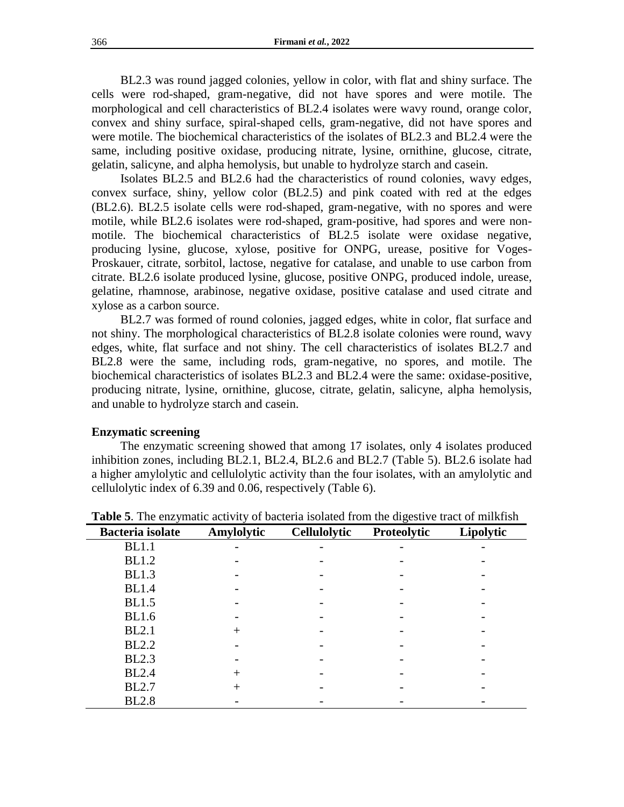BL2.3 was round jagged colonies, yellow in color, with flat and shiny surface. The cells were rod-shaped, gram-negative, did not have spores and were motile. The morphological and cell characteristics of BL2.4 isolates were wavy round, orange color, convex and shiny surface, spiral-shaped cells, gram-negative, did not have spores and were motile. The biochemical characteristics of the isolates of BL2.3 and BL2.4 were the same, including positive oxidase, producing nitrate, lysine, ornithine, glucose, citrate, gelatin, salicyne, and alpha hemolysis, but unable to hydrolyze starch and casein.

Isolates BL2.5 and BL2.6 had the characteristics of round colonies, wavy edges, convex surface, shiny, yellow color (BL2.5) and pink coated with red at the edges (BL2.6). BL2.5 isolate cells were rod-shaped, gram-negative, with no spores and were motile, while BL2.6 isolates were rod-shaped, gram-positive, had spores and were nonmotile. The biochemical characteristics of BL2.5 isolate were oxidase negative, producing lysine, glucose, xylose, positive for ONPG, urease, positive for Voges-Proskauer, citrate, sorbitol, lactose, negative for catalase, and unable to use carbon from citrate. BL2.6 isolate produced lysine, glucose, positive ONPG, produced indole, urease, gelatine, rhamnose, arabinose, negative oxidase, positive catalase and used citrate and xylose as a carbon source.

BL2.7 was formed of round colonies, jagged edges, white in color, flat surface and not shiny. The morphological characteristics of BL2.8 isolate colonies were round, wavy edges, white, flat surface and not shiny. The cell characteristics of isolates BL2.7 and BL2.8 were the same, including rods, gram-negative, no spores, and motile. The biochemical characteristics of isolates BL2.3 and BL2.4 were the same: oxidase-positive, producing nitrate, lysine, ornithine, glucose, citrate, gelatin, salicyne, alpha hemolysis, and unable to hydrolyze starch and casein.

### **Enzymatic screening**

The enzymatic screening showed that among 17 isolates, only 4 isolates produced inhibition zones, including BL2.1, BL2.4, BL2.6 and BL2.7 (Table 5). BL2.6 isolate had a higher amylolytic and cellulolytic activity than the four isolates, with an amylolytic and cellulolytic index of 6.39 and 0.06, respectively (Table 6).

| <b>Bacteria</b> isolate | Amylolytic | <b>Cellulolytic</b> | Proteolytic | Lipolytic |
|-------------------------|------------|---------------------|-------------|-----------|
| <b>BL1.1</b>            |            |                     |             |           |
| <b>BL1.2</b>            |            |                     |             |           |
| <b>BL1.3</b>            |            |                     |             |           |
| <b>BL1.4</b>            |            |                     |             |           |
| <b>BL1.5</b>            |            |                     |             |           |
| <b>BL1.6</b>            |            |                     |             |           |
| <b>BL2.1</b>            |            |                     |             |           |
| <b>BL2.2</b>            |            |                     |             |           |
| <b>BL2.3</b>            |            |                     |             |           |
| <b>BL2.4</b>            | +          |                     |             |           |
| <b>BL2.7</b>            | $^{+}$     |                     |             |           |
| <b>BL2.8</b>            |            |                     |             |           |

**Table 5**. The enzymatic activity of bacteria isolated from the digestive tract of milkfish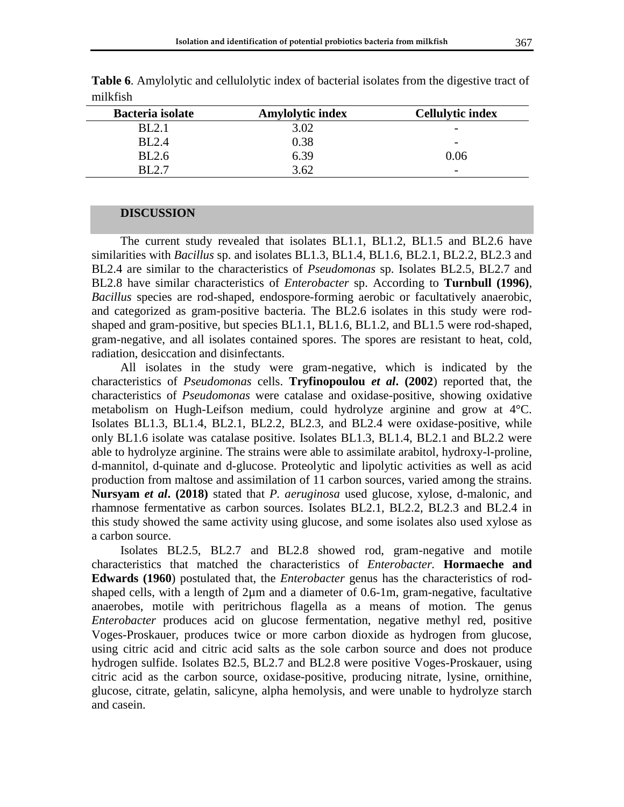| Bacteria isolate | <b>Amylolytic index</b> | <b>Cellulytic index</b>  |
|------------------|-------------------------|--------------------------|
| BL2.1            | 3.02                    | $\overline{\phantom{0}}$ |
| <b>BL2.4</b>     | 0.38                    | $\overline{\phantom{a}}$ |
| <b>BL2.6</b>     | 6.39                    | 0.06                     |
| RI 7-7           | 3.62                    | $\overline{\phantom{a}}$ |

**Table 6**. Amylolytic and cellulolytic index of bacterial isolates from the digestive tract of milkfish

#### **DISCUSSION**

The current study revealed that isolates BL1.1, BL1.2, BL1.5 and BL2.6 have similarities with *Bacillus* sp. and isolates BL1.3, BL1.4, BL1.6, BL2.1, BL2.2, BL2.3 and BL2.4 are similar to the characteristics of *Pseudomonas* sp. Isolates BL2.5, BL2.7 and BL2.8 have similar characteristics of *Enterobacter* sp. According to **Turnbull (1996)**, *Bacillus* species are rod-shaped, endospore-forming aerobic or facultatively anaerobic, and categorized as gram-positive bacteria. The BL2.6 isolates in this study were rodshaped and gram-positive, but species BL1.1, BL1.6, BL1.2, and BL1.5 were rod-shaped, gram-negative, and all isolates contained spores. The spores are resistant to heat, cold, radiation, desiccation and disinfectants.

All isolates in the study were gram-negative, which is indicated by the characteristics of *Pseudomonas* cells. **Tryfinopoulou** *et al***. (2002**) reported that, the characteristics of *Pseudomonas* were catalase and oxidase-positive, showing oxidative metabolism on Hugh-Leifson medium, could hydrolyze arginine and grow at 4°C. Isolates BL1.3, BL1.4, BL2.1, BL2.2, BL2.3, and BL2.4 were oxidase-positive, while only BL1.6 isolate was catalase positive. Isolates BL1.3, BL1.4, BL2.1 and BL2.2 were able to hydrolyze arginine. The strains were able to assimilate arabitol, hydroxy-l-proline, d-mannitol, d-quinate and d-glucose. Proteolytic and lipolytic activities as well as acid production from maltose and assimilation of 11 carbon sources, varied among the strains. **Nursyam** *et al***. (2018)** stated that *P. aeruginosa* used glucose, xylose, d-malonic, and rhamnose fermentative as carbon sources. Isolates BL2.1, BL2.2, BL2.3 and BL2.4 in this study showed the same activity using glucose, and some isolates also used xylose as a carbon source.

Isolates BL2.5, BL2.7 and BL2.8 showed rod, gram-negative and motile characteristics that matched the characteristics of *Enterobacter.* **Hormaeche and Edwards (1960**) postulated that, the *Enterobacter* genus has the characteristics of rodshaped cells, with a length of  $2\mu$ m and a diameter of 0.6-1m, gram-negative, facultative anaerobes, motile with peritrichous flagella as a means of motion. The genus *Enterobacter* produces acid on glucose fermentation, negative methyl red, positive Voges-Proskauer, produces twice or more carbon dioxide as hydrogen from glucose, using citric acid and citric acid salts as the sole carbon source and does not produce hydrogen sulfide. Isolates B2.5, BL2.7 and BL2.8 were positive Voges-Proskauer, using citric acid as the carbon source, oxidase-positive, producing nitrate, lysine, ornithine, glucose, citrate, gelatin, salicyne, alpha hemolysis, and were unable to hydrolyze starch and casein.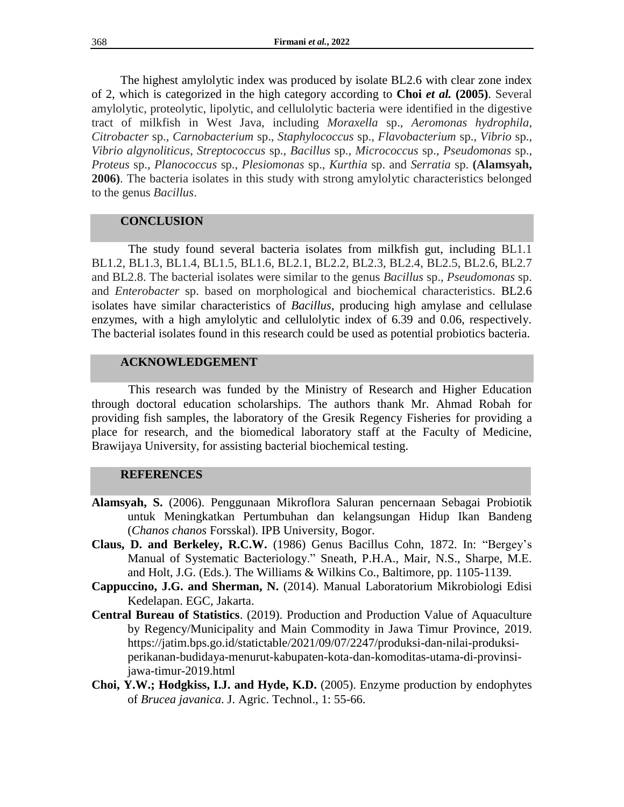The highest amylolytic index was produced by isolate BL2.6 with clear zone index of 2, which is categorized in the high category according to **Choi** *et al.* **(2005)**. Several amylolytic, proteolytic, lipolytic, and cellulolytic bacteria were identified in the digestive tract of milkfish in West Java, including *Moraxella* sp., *Aeromonas hydrophila*, *Citrobacter* sp., *Carnobacterium* sp., *Staphylococcus* sp., *Flavobacterium* sp., *Vibrio* sp., *Vibrio algynoliticus*, *Streptococcus* sp., *Bacillus* sp., *Micrococcus* sp., *Pseudomonas* sp., *Proteus* sp., *Planococcus* sp., *Plesiomonas* sp., *Kurthia* sp. and *Serratia* sp. **(Alamsyah, 2006)**. The bacteria isolates in this study with strong amylolytic characteristics belonged to the genus *Bacillus*.

# **CONCLUSION**

The study found several bacteria isolates from milkfish gut, including BL1.1 BL1.2, BL1.3, BL1.4, BL1.5, BL1.6, BL2.1, BL2.2, BL2.3, BL2.4, BL2.5, BL2.6, BL2.7 and BL2.8. The bacterial isolates were similar to the genus *Bacillus* sp., *Pseudomonas* sp. and *Enterobacter* sp. based on morphological and biochemical characteristics. BL2.6 isolates have similar characteristics of *Bacillus*, producing high amylase and cellulase enzymes, with a high amylolytic and cellulolytic index of 6.39 and 0.06, respectively. The bacterial isolates found in this research could be used as potential probiotics bacteria.

### **ACKNOWLEDGEMENT**

This research was funded by the Ministry of Research and Higher Education through doctoral education scholarships. The authors thank Mr. Ahmad Robah for providing fish samples, the laboratory of the Gresik Regency Fisheries for providing a place for research, and the biomedical laboratory staff at the Faculty of Medicine, Brawijaya University, for assisting bacterial biochemical testing.

## **REFERENCES**

- **Alamsyah, S.** (2006). Penggunaan Mikroflora Saluran pencernaan Sebagai Probiotik untuk Meningkatkan Pertumbuhan dan kelangsungan Hidup Ikan Bandeng (*Chanos chanos* Forsskal). IPB University, Bogor.
- **Claus, D. and Berkeley, R.C.W.** (1986) Genus Bacillus Cohn, 1872. In: "Bergey's Manual of Systematic Bacteriology." Sneath, P.H.A., Mair, N.S., Sharpe, M.E. and Holt, J.G. (Eds.). The Williams & Wilkins Co., Baltimore, pp. 1105-1139.
- **Cappuccino, J.G. and Sherman, N.** (2014). Manual Laboratorium Mikrobiologi Edisi Kedelapan. EGC, Jakarta.
- **Central Bureau of Statistics**. (2019). Production and Production Value of Aquaculture by Regency/Municipality and Main Commodity in Jawa Timur Province, 2019. [https://jatim.bps.go.id/statictable/2021/09/07/2247/produksi-dan-nilai-produksi](https://jatim.bps.go.id/statictable/2021/09/07/2247/produksi-dan-nilai-produksi-perikanan-budidaya-menurut-kabupaten-kota-dan-komoditas-utama-di-provinsi-jawa-timur-2019.html)[perikanan-budidaya-menurut-kabupaten-kota-dan-komoditas-utama-di-provinsi](https://jatim.bps.go.id/statictable/2021/09/07/2247/produksi-dan-nilai-produksi-perikanan-budidaya-menurut-kabupaten-kota-dan-komoditas-utama-di-provinsi-jawa-timur-2019.html)[jawa-timur-2019.html](https://jatim.bps.go.id/statictable/2021/09/07/2247/produksi-dan-nilai-produksi-perikanan-budidaya-menurut-kabupaten-kota-dan-komoditas-utama-di-provinsi-jawa-timur-2019.html)
- **Choi, Y.W.; Hodgkiss, I.J. and Hyde, K.D.** (2005). Enzyme production by endophytes of *Brucea javanica*. J. Agric. Technol., 1: 55-66.